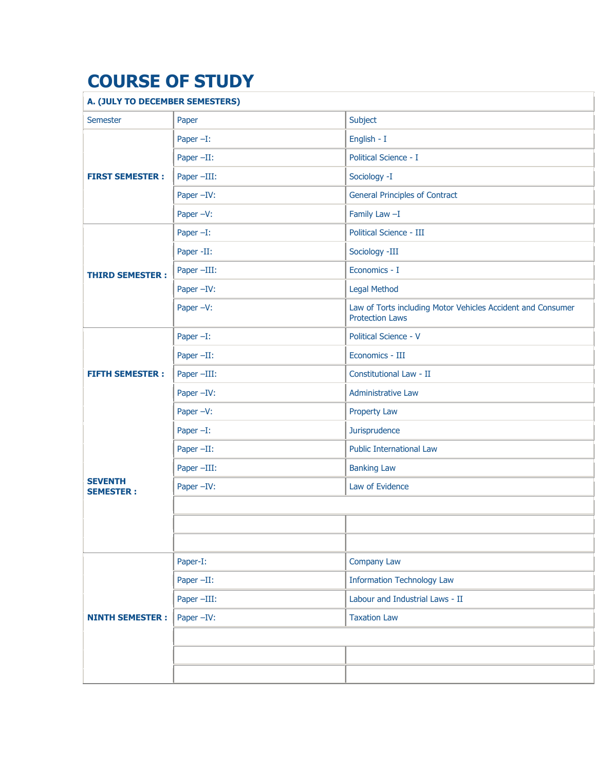## **COURSE OF STUDY**

## **A. (JULY TO DECEMBER SEMESTERS)**

| A. (JULT TU DECEMBER SEMESTERS)    |              |                                                                                       |
|------------------------------------|--------------|---------------------------------------------------------------------------------------|
| Semester                           | Paper        | Subject                                                                               |
| <b>FIRST SEMESTER:</b>             | Paper $-I$ : | English - I                                                                           |
|                                    | Paper-II:    | Political Science - I                                                                 |
|                                    | Paper -III:  | Sociology -I                                                                          |
|                                    | Paper -IV:   | <b>General Principles of Contract</b>                                                 |
|                                    | Paper -V:    | Family Law -I                                                                         |
| <b>THIRD SEMESTER:</b>             | Paper $-I$ : | Political Science - III                                                               |
|                                    | Paper -II:   | Sociology -III                                                                        |
|                                    | Paper -III:  | Economics - I                                                                         |
|                                    | Paper -IV:   | <b>Legal Method</b>                                                                   |
|                                    | Paper -V:    | Law of Torts including Motor Vehicles Accident and Consumer<br><b>Protection Laws</b> |
| <b>FIFTH SEMESTER:</b>             | Paper $-I$ : | Political Science - V                                                                 |
|                                    | Paper -II:   | Economics - III                                                                       |
|                                    | Paper -III:  | Constitutional Law - II                                                               |
|                                    | Paper -IV:   | <b>Administrative Law</b>                                                             |
|                                    | Paper -V:    | <b>Property Law</b>                                                                   |
| <b>SEVENTH</b><br><b>SEMESTER:</b> | Paper $-I$ : | Jurisprudence                                                                         |
|                                    | Paper -II:   | <b>Public International Law</b>                                                       |
|                                    | Paper -III:  | <b>Banking Law</b>                                                                    |
|                                    | Paper -IV:   | Law of Evidence                                                                       |
|                                    |              |                                                                                       |
|                                    |              |                                                                                       |
|                                    |              |                                                                                       |
| <b>NINTH SEMESTER:</b>             | Paper-I:     | Company Law                                                                           |
|                                    | Paper -II:   | <b>Information Technology Law</b>                                                     |
|                                    | Paper -III:  | Labour and Industrial Laws - II                                                       |
|                                    | Paper -IV:   | <b>Taxation Law</b>                                                                   |
|                                    |              |                                                                                       |
|                                    |              |                                                                                       |
|                                    |              |                                                                                       |
|                                    |              |                                                                                       |